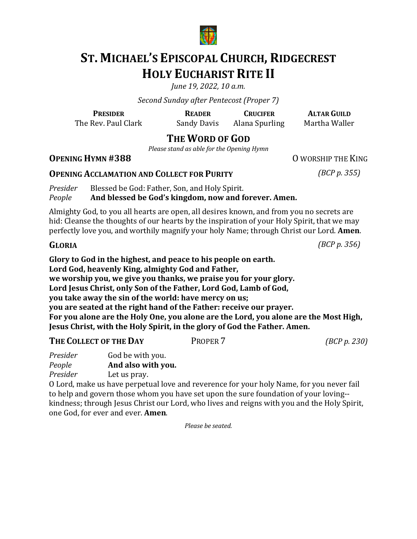

# **ST. MICHAEL'S EPISCOPAL CHURCH, RIDGECREST HOLY EUCHARIST RITE II**

*June* 19, 2022, 10 a.m.

*Second Sunday after Pentecost (Proper 7)*

**PRESIDER READER CRUCIFER ALTAR GUILD** The Rev. Paul Clark Sandy Davis Alana Spurling Martha Waller

## **THE WORD OF GOD**

*Please stand as able for the Opening Hymn* 

### **OPENING HYMN #388** O WORSHIP THE KING

### **OPENING ACCLAMATION AND COLLECT FOR PURITY** *(BCP p. 355)*

*Presider* Blessed be God: Father, Son, and Holy Spirit.<br>*People* **And blessed be God's kingdom, now and f** And blessed be God's kingdom, now and forever. Amen.

Almighty God, to you all hearts are open, all desires known, and from you no secrets are hid: Cleanse the thoughts of our hearts by the inspiration of your Holy Spirit, that we may perfectly love you, and worthily magnify your holy Name; through Christ our Lord. **Amen**.

Glory to God in the highest, and peace to his people on earth. Lord God, heavenly King, almighty God and Father, we worship you, we give you thanks, we praise you for your glory. Lord Jesus Christ, only Son of the Father, Lord God, Lamb of God, **you take away the sin of the world: have mercy on us; you are seated at the right hand of the Father: receive our prayer.** For you alone are the Holy One, you alone are the Lord, you alone are the Most High, **Jesus Christ, with the Holy Spirit, in the glory of God the Father. Amen.** 

### **THE COLLECT OF THE DAY PROPER 7** *(BCP p. 230)*

*Presider* God be with you.<br>*People* **And also with vo** And also with you. *Presider* Let us pray.

O Lord, make us have perpetual love and reverence for your holy Name, for you never fail to help and govern those whom you have set upon the sure foundation of your loving-kindness; through Jesus Christ our Lord, who lives and reigns with you and the Holy Spirit, one God, for ever and ever. **Amen**.

*Please be seated.*

**GLORIA** *(BCP p. 356)*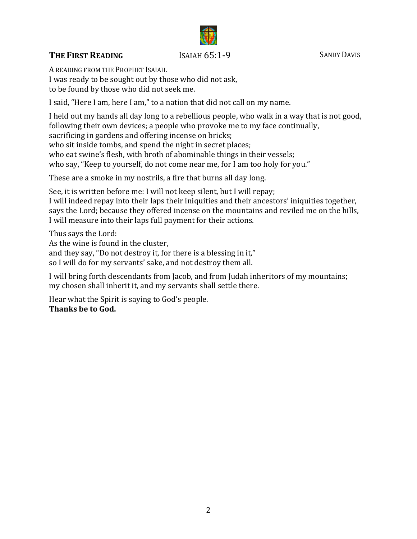## **THE FIRST READING ISAIAH 65:1-9** SANDY DAVIS

A READING FROM THE PROPHET ISAIAH. I was ready to be sought out by those who did not ask, to be found by those who did not seek me.

I said, "Here I am, here I am," to a nation that did not call on my name.

I held out my hands all day long to a rebellious people, who walk in a way that is not good, following their own devices; a people who provoke me to my face continually, sacrificing in gardens and offering incense on bricks; who sit inside tombs, and spend the night in secret places; who eat swine's flesh, with broth of abominable things in their vessels; who say, "Keep to yourself, do not come near me, for I am too holy for you."

These are a smoke in my nostrils, a fire that burns all day long.

See, it is written before me: I will not keep silent, but I will repay; I will indeed repay into their laps their iniquities and their ancestors' iniquities together, says the Lord; because they offered incense on the mountains and reviled me on the hills, I will measure into their laps full payment for their actions.

Thus says the Lord: As the wine is found in the cluster, and they say, "Do not destroy it, for there is a blessing in it," so I will do for my servants' sake, and not destroy them all.

I will bring forth descendants from Jacob, and from Judah inheritors of my mountains; my chosen shall inherit it, and my servants shall settle there.

Hear what the Spirit is saying to God's people. **Thanks be to God.**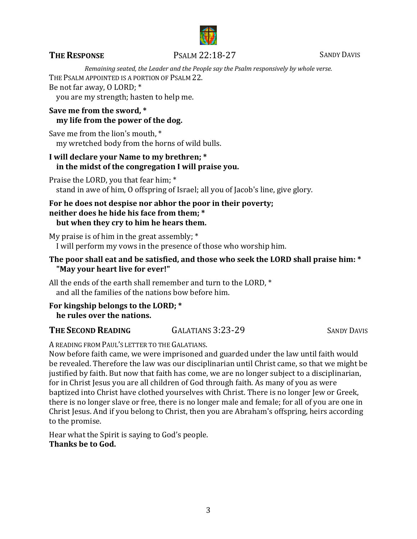

#### **THE RESPONSE** PSALM 22:18-27 SANDY DAVIS

*Remaining seated, the Leader and the People say the Psalm responsively by whole verse.* THE PSALM APPOINTED IS A PORTION OF PSALM 22. Be not far away, O LORD; \*

you are my strength; hasten to help me.

### Save me from the sword, \* **my** life from the power of the dog.

Save me from the lion's mouth, \* my wretched body from the horns of wild bulls.

#### I will declare your Name to my brethren; \* In the midst of the congregation I will praise you.

Praise the LORD, you that fear him; \* stand in awe of him, O offspring of Israel; all you of Jacob's line, give glory.

#### For he does not despise nor abhor the poor in their poverty; neither does he hide his face from them; \* but when they cry to him he hears them.

My praise is of him in the great assembly;  $*$ I will perform my vows in the presence of those who worship him.

#### The poor shall eat and be satisfied, and those who seek the LORD shall praise him: \* "May your heart live for ever!"

All the ends of the earth shall remember and turn to the LORD,  $*$ and all the families of the nations bow before him.

#### For kingship belongs to the LORD; \* **he rules over the nations.**

### **THE SECOND READING** GALATIANS 3:23-29 SANDY DAVIS

A READING FROM PAUL'S LETTER TO THE GALATIANS.

Now before faith came, we were imprisoned and guarded under the law until faith would be revealed. Therefore the law was our disciplinarian until Christ came, so that we might be justified by faith. But now that faith has come, we are no longer subject to a disciplinarian, for in Christ Jesus you are all children of God through faith. As many of you as were baptized into Christ have clothed yourselves with Christ. There is no longer Jew or Greek, there is no longer slave or free, there is no longer male and female; for all of you are one in Christ Jesus. And if you belong to Christ, then you are Abraham's offspring, heirs according to the promise.

Hear what the Spirit is saying to God's people. **Thanks be to God.**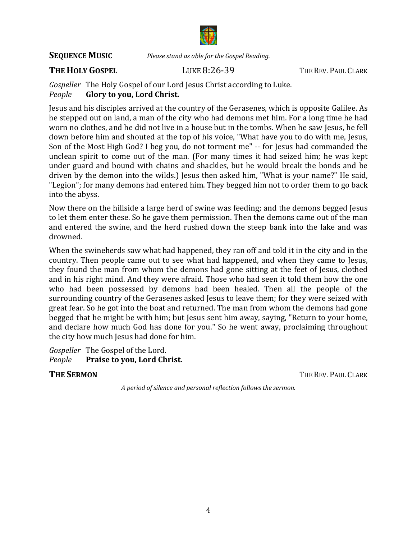

**SEQUENCE MUSIC** *Please stand as able for the Gospel Reading.* 

## **THE HOLY GOSPEL** LUKE 8:26-39 THE REV. PAUL CLARK

#### *Gospeller* The Holy Gospel of our Lord Jesus Christ according to Luke.<br>*People* **Glory to you, Lord Christ.** *Glory* **to you, Lord Christ.**

Jesus and his disciples arrived at the country of the Gerasenes, which is opposite Galilee. As he stepped out on land, a man of the city who had demons met him. For a long time he had worn no clothes, and he did not live in a house but in the tombs. When he saw Jesus, he fell down before him and shouted at the top of his voice, "What have you to do with me, Jesus, Son of the Most High God? I beg you, do not torment me" -- for Jesus had commanded the unclean spirit to come out of the man. (For many times it had seized him; he was kept under guard and bound with chains and shackles, but he would break the bonds and be driven by the demon into the wilds.) Jesus then asked him, "What is your name?" He said, "Legion"; for many demons had entered him. They begged him not to order them to go back into the abyss.

Now there on the hillside a large herd of swine was feeding; and the demons begged Jesus to let them enter these. So he gave them permission. Then the demons came out of the man and entered the swine, and the herd rushed down the steep bank into the lake and was drowned.

When the swineherds saw what had happened, they ran off and told it in the city and in the country. Then people came out to see what had happened, and when they came to Jesus, they found the man from whom the demons had gone sitting at the feet of Jesus, clothed and in his right mind. And they were afraid. Those who had seen it told them how the one who had been possessed by demons had been healed. Then all the people of the surrounding country of the Gerasenes asked Jesus to leave them; for they were seized with great fear. So he got into the boat and returned. The man from whom the demons had gone begged that he might be with him; but Jesus sent him away, saying, "Return to your home, and declare how much God has done for you." So he went away, proclaiming throughout the city how much Jesus had done for him.

*Gospeller* The Gospel of the Lord.<br>*People* Praise to you, Lord Ch

**Praise to you, Lord Christ.** 

**THE SERMON** THE **REV. PAUL CLARK** 

*A period of silence and personal reflection follows the sermon.*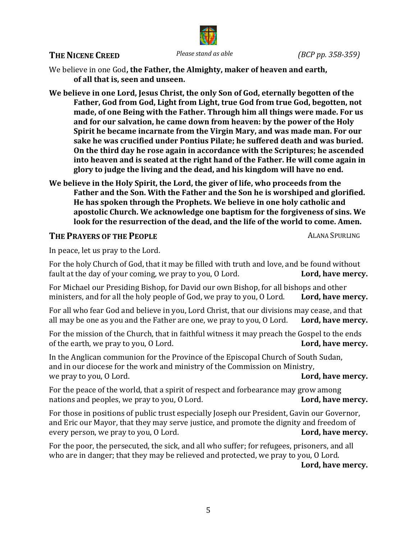#### **THE NICENE CREED** *Please stand as able (BCP pp. 358-359)*



We believe in one God, the Father, the Almighty, maker of heaven and earth, of all that is, seen and unseen.

We believe in one Lord, Jesus Christ, the only Son of God, eternally begotten of the Father, God from God, Light from Light, true God from true God, begotten, not made, of one Being with the Father. Through him all things were made. For us and for our salvation, he came down from heaven: by the power of the Holy **Spirit he became incarnate from the Virgin Mary, and was made man. For our** sake he was crucified under Pontius Pilate; he suffered death and was buried. On the third day he rose again in accordance with the Scriptures; he ascended into heaven and is seated at the right hand of the Father. He will come again in glory to judge the living and the dead, and his kingdom will have no end.

We believe in the Holy Spirit, the Lord, the giver of life, who proceeds from the **Father and the Son. With the Father and the Son he is worshiped and glorified.** He has spoken through the Prophets. We believe in one holy catholic and apostolic Church. We acknowledge one baptism for the forgiveness of sins. We look for the resurrection of the dead, and the life of the world to come. Amen.

#### **THE PRAYERS OF THE PEOPLE ALANA SPURLING**

In peace, let us pray to the Lord.

For the holy Church of God, that it may be filled with truth and love, and be found without fault at the day of your coming, we pray to you, O Lord. **Lord, have mercy.** fault at the day of your coming, we pray to you, O Lord.

For Michael our Presiding Bishop, for David our own Bishop, for all bishops and other ministers, and for all the holy people of God, we pray to you, O Lord. Lord, have mercy. ministers, and for all the holy people of God, we pray to you, O Lord.

For all who fear God and believe in you, Lord Christ, that our divisions may cease, and that all may be one as you and the Father are one, we pray to you, O Lord. Lord, have mercy. all may be one as you and the Father are one, we pray to you, O Lord.

For the mission of the Church, that in faithful witness it may preach the Gospel to the ends of the earth, we pray to you, O Lord. of the earth, we pray to you, O Lord.

In the Anglican communion for the Province of the Episcopal Church of South Sudan, and in our diocese for the work and ministry of the Commission on Ministry,<br>we pray to you, O Lord. **Example 20** Lord. we pray to you, O Lord.

For the peace of the world, that a spirit of respect and forbearance may grow among nations and peoples, we pray to you, O Lord.  $Lord$ , have mercy. nations and peoples, we pray to you, O Lord.

For those in positions of public trust especially Joseph our President, Gavin our Governor, and Eric our Mayor, that they may serve justice, and promote the dignity and freedom of every person, we pray to you, O Lord. every person, we pray to you, O Lord.

For the poor, the persecuted, the sick, and all who suffer; for refugees, prisoners, and all who are in danger; that they may be relieved and protected, we pray to you, O Lord.

Lord, have mercy.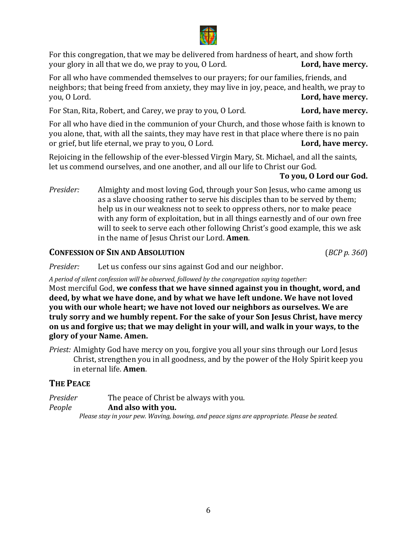For this congregation, that we may be delivered from hardness of heart, and show forth your glory in all that we do, we pray to you, O Lord. **Lord, have mercy.** your glory in all that we do, we pray to you, O Lord.

For all who have commended themselves to our prayers; for our families, friends, and neighbors; that being freed from anxiety, they may live in joy, peace, and health, we pray to you, O Lord. Lord, have mercy.

For Stan, Rita, Robert, and Carey, we pray to you, O Lord. **Lord, have mercy.** 

For all who have died in the communion of your Church, and those whose faith is known to you alone, that, with all the saints, they may have rest in that place where there is no pain<br>or grief, but life eternal, we pray to you, O Lord.<br>**Lord, have mercy.** or grief, but life eternal, we pray to you, O Lord.

Rejoicing in the fellowship of the ever-blessed Virgin Mary, St. Michael, and all the saints, let us commend ourselves, and one another, and all our life to Christ our God.

#### To you, O Lord our God.

*Presider:* Almighty and most loving God, through your Son Jesus, who came among us as a slave choosing rather to serve his disciples than to be served by them; help us in our weakness not to seek to oppress others, nor to make peace with any form of exploitation, but in all things earnestly and of our own free will to seek to serve each other following Christ's good example, this we ask in the name of Jesus Christ our Lord. **Amen**.

#### **CONFESSION OF SIN AND ABSOLUTION** (*BCP p. 360*)

*Presider:* Let us confess our sins against God and our neighbor.

*A* period of silent confession will be observed, followed by the congregation saying together:

Most merciful God, we confess that we have sinned against you in thought, word, and deed, by what we have done, and by what we have left undone. We have not loved **you** with our whole heart; we have not loved our neighbors as ourselves. We are truly sorry and we humbly repent. For the sake of your Son Jesus Christ, have mercy **on** us and forgive us; that we may delight in your will, and walk in your ways, to the **glory of your Name. Amen.**

*Priest:* Almighty God have mercy on you, forgive you all your sins through our Lord Jesus Christ, strengthen you in all goodness, and by the power of the Holy Spirit keep you in eternal life. **Amen**.

### **THE PEACE**

*Presider* The peace of Christ be always with you.<br>People **And also with you.** And also with you. *Please stay in your pew. Waving, bowing, and peace signs are appropriate. Please be seated.* 

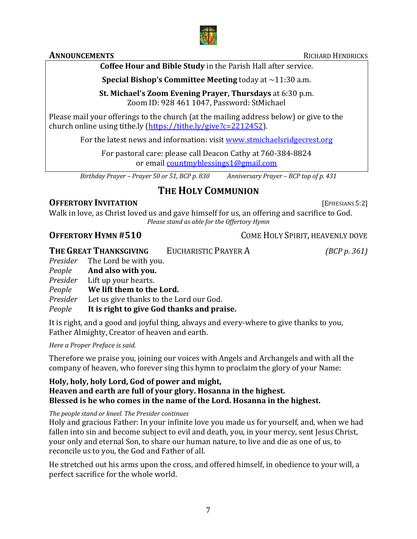**Coffee Hour and Bible Study** in the Parish Hall after service.

**Special Bishop's Committee Meeting** today at  $\sim$ 11:30 a.m.

**St. Michael's Zoom Evening Prayer, Thursdays** at 6:30 p.m. Zoom ID: 928 461 1047, Password: StMichael

Please mail your offerings to the church (at the mailing address below) or give to the church online using tithe.ly (https://tithe.ly/give?c=2212452).

For the latest news and information: visit www.stmichaelsridgecrest.org

For pastoral care: please call Deacon Cathy at 760-384-8824 or email **countmyblessings1@gmail.com** 

*Birthday Prayer* – *Prayer 50 or 51, BCP p. 830* Anniversary Prayer – BCP top of p. 431

## **THE HOLY COMMUNION**

### **OFFERTORY INVITATION** [EPHESIANS 5:2]

Walk in love, as Christ loved us and gave himself for us, an offering and sacrifice to God. *Please stand as able for the Offertory Hymn* 

**OFFERTORY HYMN #510** COME HOLY SPIRIT, HEAVENLY DOVE

|                             | THE GREAT THANKSGIVING                | EUCHARISTIC PRAYER A | (BCP p. 361) |
|-----------------------------|---------------------------------------|----------------------|--------------|
|                             | <i>Presider</i> The Lord be with you. |                      |              |
|                             | <i>People</i> And also with you.      |                      |              |
|                             | <i>Presider</i> Lift up your hearts.  |                      |              |
| $\mathbf{r}$ , $\mathbf{r}$ | $\blacksquare$                        |                      |              |

*People* **We lift them to the Lord.** 

*Presider* Let us give thanks to the Lord our God.

*People* **It is right to give God thanks and praise.** 

It is right, and a good and joyful thing, always and every-where to give thanks to you, Father Almighty, Creator of heaven and earth.

*Here a Proper Preface is said.*

Therefore we praise you, joining our voices with Angels and Archangels and with all the company of heaven, who forever sing this hymn to proclaim the glory of your Name:

#### Holy, holy, holy Lord, God of power and might, Heaven and earth are full of your glory. Hosanna in the highest. Blessed is he who comes in the name of the Lord. Hosanna in the highest.

*The people stand or kneel. The Presider continues*

Holy and gracious Father: In your infinite love you made us for yourself, and, when we had fallen into sin and become subject to evil and death, you, in your mercy, sent Jesus Christ, your only and eternal Son, to share our human nature, to live and die as one of us, to reconcile us to you, the God and Father of all.

He stretched out his arms upon the cross, and offered himself, in obedience to your will, a perfect sacrifice for the whole world.

**ANNOUNCEMENTS RICHARD HENDRICKS**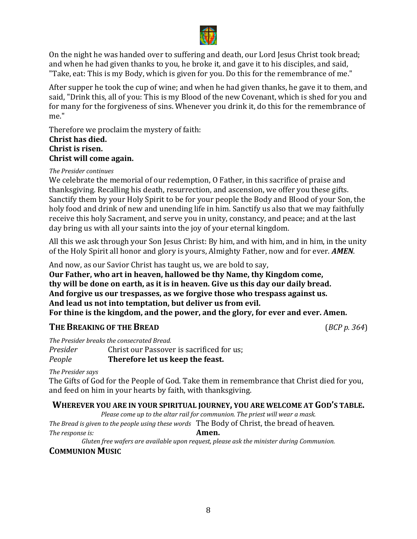

On the night he was handed over to suffering and death, our Lord Jesus Christ took bread; and when he had given thanks to you, he broke it, and gave it to his disciples, and said, "Take, eat: This is my Body, which is given for you. Do this for the remembrance of me."

After supper he took the cup of wine; and when he had given thanks, he gave it to them, and said, "Drink this, all of you: This is my Blood of the new Covenant, which is shed for you and for many for the forgiveness of sins. Whenever you drink it, do this for the remembrance of me."

Therefore we proclaim the mystery of faith:

#### **Christ has died. Christ is risen. Christ will come again.**

#### *The Presider continues*

We celebrate the memorial of our redemption, O Father, in this sacrifice of praise and thanksgiving. Recalling his death, resurrection, and ascension, we offer you these gifts. Sanctify them by your Holy Spirit to be for your people the Body and Blood of your Son, the holy food and drink of new and unending life in him. Sanctify us also that we may faithfully receive this holy Sacrament, and serve you in unity, constancy, and peace; and at the last day bring us with all your saints into the joy of your eternal kingdom.

All this we ask through your Son Jesus Christ: By him, and with him, and in him, in the unity of the Holy Spirit all honor and glory is yours, Almighty Father, now and for ever. **AMEN**.

And now, as our Savior Christ has taught us, we are bold to say,

**Our Father, who art in heaven, hallowed be thy Name, thy Kingdom come,** thy will be done on earth, as it is in heaven. Give us this day our daily bread. And forgive us our trespasses, as we forgive those who trespass against us. And lead us not into temptation, but deliver us from evil. For thine is the kingdom, and the power, and the glory, for ever and ever. Amen.

## **THE BREAKING OF THE BREAD** (*BCP p.* 364)

*The Presider breaks the consecrated Bread. Presider* Christ our Passover is sacrificed for us;<br>*People* **Therefore let us keep the feast. Therefore let us keep the feast.** 

#### *The Presider says*

*The response is:* 

The Gifts of God for the People of God. Take them in remembrance that Christ died for you, and feed on him in your hearts by faith, with thanksgiving.

### WHEREVER YOU ARE IN YOUR SPIRITUAL JOURNEY, YOU ARE WELCOME AT GOD'S TABLE.

Please come up to the altar rail for communion. The priest will wear a mask.

*The Bread is given to the people using these words* The Body of Christ, the bread of heaven.<br>The response is:<br>**Amen.** 

Gluten free wafers are available upon request, please ask the minister during Communion.

### **COMMUNION MUSIC**